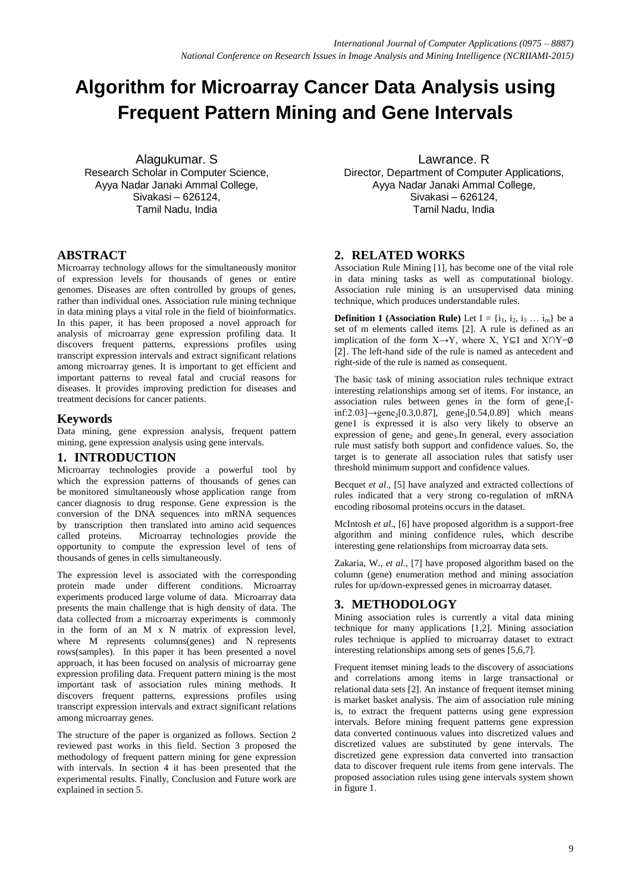# **Algorithm for Microarray Cancer Data Analysis using Frequent Pattern Mining and Gene Intervals**

Alagukumar. S Research Scholar in Computer Science, Ayya Nadar Janaki Ammal College, Sivakasi – 626124, Tamil Nadu, India

# **ABSTRACT**

Microarray technology allows for the simultaneously monitor of expression levels for thousands of genes or entire genomes. Diseases are often controlled by groups of genes, rather than individual ones. Association rule mining technique in data mining plays a vital role in the field of bioinformatics. In this paper, it has been proposed a novel approach for analysis of microarray gene expression profiling data. It discovers frequent patterns, expressions profiles using transcript expression intervals and extract significant relations among microarray genes. It is important to get efficient and important patterns to reveal fatal and crucial reasons for diseases. It provides improving prediction for diseases and treatment decisions for cancer patients.

# **Keywords**

Data mining, gene expression analysis, frequent pattern mining, gene expression analysis using gene intervals.

## **1. INTRODUCTION**

Microarray technologies provide a powerful tool by which the expression patterns of thousands of genes can be monitored simultaneously whose application range from cancer diagnosis to drug response. Gene expression is the conversion of the DNA sequences into mRNA sequences by transcription then translated into amino acid sequences called proteins. Microarray technologies provide the opportunity to compute the expression level of tens of thousands of genes in cells simultaneously.

The expression level is associated with the corresponding protein made under different conditions. Microarray experiments produced large volume of data. Microarray data presents the main challenge that is high density of data. The data collected from a microarray experiments is commonly in the form of an M x N matrix of expression level, where M represents columns(genes) and N represents rows(samples). In this paper it has been presented a novel approach, it has been focused on analysis of microarray gene expression profiling data. Frequent pattern mining is the most important task of association rules mining methods. It discovers frequent patterns, expressions profiles using transcript expression intervals and extract significant relations among microarray genes.

The structure of the paper is organized as follows. Section 2 reviewed past works in this field. Section 3 proposed the methodology of frequent pattern mining for gene expression with intervals. In section 4 it has been presented that the experimental results. Finally, Conclusion and Future work are explained in section 5.

Lawrance. R Director, Department of Computer Applications, Ayya Nadar Janaki Ammal College, Sivakasi – 626124, Tamil Nadu, India

# **2. RELATED WORKS**

Association Rule Mining [1], has become one of the vital role in data mining tasks as well as computational biology. Association rule mining is an unsupervised data mining technique, which produces understandable rules.

**Definition 1 (Association Rule)** Let  $I = \{i_1, i_2, i_3 \dots i_m\}$  be a set of m elements called items [2]. A rule is defined as an implication of the form  $X \rightarrow Y$ , where X, Y⊆I and X∩Y=Ø [2]. The left-hand side of the rule is named as antecedent and right-side of the rule is named as consequent.

The basic task of mining association rules technique extract interesting relationships among set of items. For instance, an association rules between genes in the form of  $gene_1$ [- $\text{inf:} 2.03$ ]→gene<sub>2</sub>[0.3,0.87], gene<sub>3</sub>[0.54,0.89] which means gene1 is expressed it is also very likely to observe an expression of gene<sub>2</sub> and gene<sub>3</sub>. In general, every association rule must satisfy both support and confidence values. So, the target is to generate all association rules that satisfy user threshold minimum support and confidence values.

Becquet *et al*., [5] have analyzed and extracted collections of rules indicated that a very strong co-regulation of mRNA encoding ribosomal proteins occurs in the dataset.

McIntosh *et al*., [6] have proposed algorithm is a support-free algorithm and mining confidence rules, which describe interesting gene relationships from microarray data sets.

Zakaria, W., *et al.,* [7] have proposed algorithm based on the column (gene) enumeration method and mining association rules for up/down-expressed genes in microarray dataset.

# **3. METHODOLOGY**

Mining association rules is currently a vital data mining technique for many applications [1,2]. Mining association rules technique is applied to microarray dataset to extract interesting relationships among sets of genes [5,6,7].

Frequent itemset mining leads to the discovery of associations and correlations among items in large transactional or relational data sets [2]. An instance of frequent itemset mining is market basket analysis. The aim of association rule mining is, to extract the frequent patterns using gene expression intervals. Before mining frequent patterns gene expression data converted continuous values into discretized values and discretized values are substituted by gene intervals. The discretized gene expression data converted into transaction data to discover frequent rule items from gene intervals. The proposed association rules using gene intervals system shown in figure 1.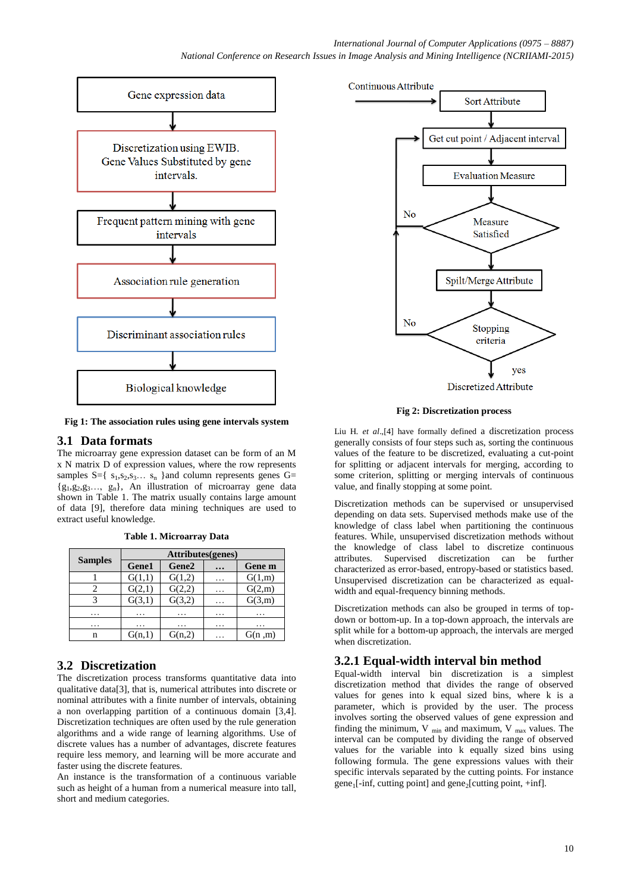

**Fig 1: The association rules using gene intervals system**

## **3.1 Data formats**

The microarray gene expression dataset can be form of an M x N matrix D of expression values, where the row represents samples  $S = \{ s_1, s_2, s_3, \ldots, s_n \}$  and column represents genes  $G =$  ${g_1, g_2, g_3..., g_n}$ , An illustration of microarray gene data shown in Table 1. The matrix usually contains large amount of data [9], therefore data mining techniques are used to extract useful knowledge.

**Table 1. Microarray Data**

|                | Attributes(genes) |                   |           |        |  |
|----------------|-------------------|-------------------|-----------|--------|--|
| <b>Samples</b> | Gene1             | Gene <sub>2</sub> | $\ddotsc$ | Gene m |  |
|                | G(1,1)            | G(1,2)            | .         | G(1,m) |  |
|                | G(2,1)            | G(2,2)            | .         | G(2,m) |  |
|                | G(3,1)            | G(3,2)            | .         | G(3,m) |  |
| .              | .                 | .                 | .         |        |  |
| .              | .                 | .                 | .         | .      |  |
| n              | G(n,1)            | G(n,2)            | .         | G(n,m) |  |

# **3.2 Discretization**

The discretization process transforms quantitative data into qualitative data[3], that is, numerical attributes into discrete or nominal attributes with a finite number of intervals, obtaining a non overlapping partition of a continuous domain [3,4]. Discretization techniques are often used by the rule generation algorithms and a wide range of learning algorithms. Use of discrete values has a number of advantages, discrete features require less memory, and learning will be more accurate and faster using the discrete features.

An instance is the transformation of a continuous variable such as height of a human from a numerical measure into tall, short and medium categories.



**Fig 2: Discretization process**

Liu H*. et al*.,[4] have formally defined a discretization process generally consists of four steps such as, sorting the continuous values of the feature to be discretized, evaluating a cut-point for splitting or adjacent intervals for merging, according to some criterion, splitting or merging intervals of continuous value, and finally stopping at some point.

Discretization methods can be supervised or unsupervised depending on data sets. Supervised methods make use of the knowledge of class label when partitioning the continuous features. While, unsupervised discretization methods without the knowledge of class label to discretize continuous attributes. Supervised discretization can be further characterized as error-based, entropy-based or statistics based. Unsupervised discretization can be characterized as equalwidth and equal-frequency binning methods.

Discretization methods can also be grouped in terms of topdown or bottom-up. In a top-down approach, the intervals are split while for a bottom-up approach, the intervals are merged when discretization.

# **3.2.1 Equal-width interval bin method**

Equal-width interval bin discretization is a simplest discretization method that divides the range of observed values for genes into k equal sized bins, where k is a parameter, which is provided by the user. The process involves sorting the observed values of gene expression and finding the minimum,  $V_{min}$  and maximum,  $V_{max}$  values. The interval can be computed by dividing the range of observed values for the variable into k equally sized bins using following formula. The gene expressions values with their specific intervals separated by the cutting points. For instance gene<sub>1</sub>[-inf, cutting point] and gene<sub>2</sub>[cutting point, +inf].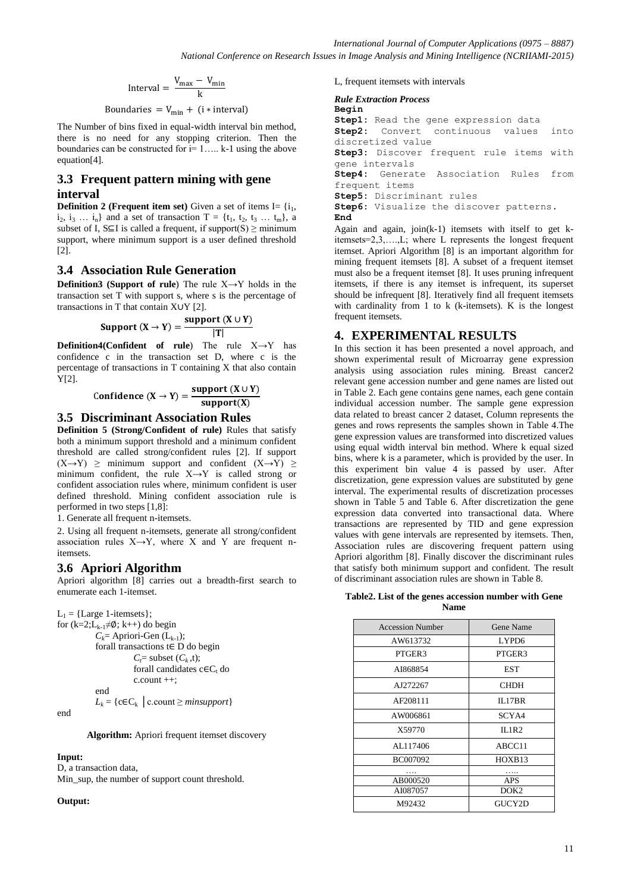$$
Interval = \frac{V_{max} - V_{min}}{k}
$$

Boundaries =  $V_{\text{min}} + (i * interval)$ 

The Number of bins fixed in equal-width interval bin method, there is no need for any stopping criterion. Then the boundaries can be constructed for  $i=1,\ldots$  k-1 using the above equation[4].

## **3.3 Frequent pattern mining with gene interval**

**Definition 2 (Frequent item set)** Given a set of items  $I = \{i_1,$  $i_2, i_3, \ldots, i_n$  and a set of transaction T = { $t_1, t_2, t_3, \ldots, t_m$ }, a subset of I,  $S\subseteq I$  is called a frequent, if support(S)  $\geq$  minimum support, where minimum support is a user defined threshold  $[2]$ .

# **3.4 Association Rule Generation**

**Definition3 (Support of rule**) The rule X→Y holds in the transaction set T with support s, where s is the percentage of transactions in T that contain X∪Y [2].

$$
Support(X \to Y) = \frac{support(X \cup Y)}{|T|}
$$

**Definition4(Confident of rule**) The rule X→Y has confidence c in the transaction set D, where c is the percentage of transactions in T containing X that also contain Y[2].

$$
Confidence (X \rightarrow Y) = \frac{support (X \cup Y)}{support (X)}
$$

## **3.5 Discriminant Association Rules**

**Definition 5 (Strong/Confident of rule)** Rules that satisfy both a minimum support threshold and a minimum confident threshold are called strong/confident rules [2]. If support  $(X \rightarrow Y) \ge$  minimum support and confident  $(X \rightarrow Y) \ge$ minimum confident, the rule  $X \rightarrow Y$  is called strong or confident association rules where, minimum confident is user defined threshold. Mining confident association rule is performed in two steps [1,8]:

1. Generate all frequent n-itemsets.

2. Using all frequent n-itemsets, generate all strong/confident association rules  $X \rightarrow Y$ , where X and Y are frequent nitemsets.

# **3.6 Apriori Algorithm**

Apriori algorithm [8] carries out a breadth-first search to enumerate each 1-itemset.

 $L_1$  = {Large 1-itemsets}; for  $(k=2;L_{k-1}\neq \emptyset; k++)$  do begin  $C_k$ = Apriori-Gen (L<sub>k-1</sub>); forall transactions  $t \in D$  do begin  $C_f$ = subset  $(C_k, t)$ ; forall candidates  $c \in C_t$  do

c.count ++;

end

$$
L_k = \{ c \in C_k \mid c.count \geq minsupport \}
$$

end

**Algorithm:** Apriori frequent itemset discovery

#### **Input:**

D, a transaction data, Min\_sup, the number of support count threshold.

#### **Output:**

L, frequent itemsets with intervals

#### *Rule Extraction Process*

```
Begin
```
**Step1:** Read the gene expression data **Step2:** Convert continuous values into discretized value **Step3:** Discover frequent rule items with gene intervals **Step4:** Generate Association Rules from frequent items **Step5:** Discriminant rules **Step6:** Visualize the discover patterns. **End** Again and again, join(k-1) itemsets with itself to get k-

itemsets=2,3,….,L; where L represents the longest frequent itemset. Apriori Algorithm [8] is an important algorithm for mining frequent itemsets [8]. A subset of a frequent itemset must also be a frequent itemset [8]. It uses pruning infrequent itemsets, if there is any itemset is infrequent, its superset should be infrequent [8]. Iteratively find all frequent itemsets with cardinality from 1 to k (k-itemsets). K is the longest frequent itemsets.

# **4. EXPERIMENTAL RESULTS**

In this section it has been presented a novel approach, and shown experimental result of Microarray gene expression analysis using association rules mining. Breast cancer2 relevant gene accession number and gene names are listed out in Table 2. Each gene contains gene names, each gene contain individual accession number. The sample gene expression data related to breast cancer 2 dataset, Column represents the genes and rows represents the samples shown in Table 4.The gene expression values are transformed into discretized values using equal width interval bin method. Where k equal sized bins, where k is a parameter, which is provided by the user. In this experiment bin value 4 is passed by user. After discretization, gene expression values are substituted by gene interval. The experimental results of discretization processes shown in Table 5 and Table 6. After discretization the gene expression data converted into transactional data. Where transactions are represented by TID and gene expression values with gene intervals are represented by itemsets. Then, Association rules are discovering frequent pattern using Apriori algorithm [8]. Finally discover the discriminant rules that satisfy both minimum support and confident. The result of discriminant association rules are shown in Table 8.

| Table 2. List of the genes accession number with Gene |             |  |  |
|-------------------------------------------------------|-------------|--|--|
|                                                       | <b>Name</b> |  |  |

| <b>Accession Number</b> | <b>Gene Name</b>  |
|-------------------------|-------------------|
| AW613732                | LYPD <sub>6</sub> |
| PTGER3                  | PTGER3            |
| AI868854                | <b>EST</b>        |
| AJ272267                | <b>CHDH</b>       |
| AF208111                | IL17BR            |
| AW006861                | SCYA4             |
| X59770                  | ILIR2             |
| AL117406                | ABCC11            |
| BC007092                | HOXB13            |
|                         |                   |
| AB000520                | <b>APS</b>        |
| AI087057                | DOK <sub>2</sub>  |
| M92432                  | GUCY2D            |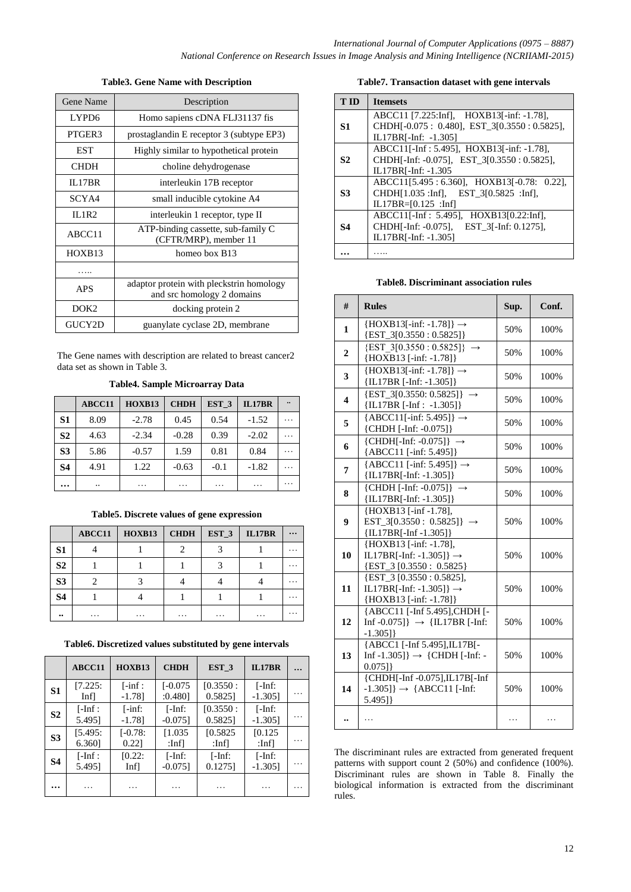## **Table3. Gene Name with Description**

| Gene Name                                                                            | Description                                                 |  |
|--------------------------------------------------------------------------------------|-------------------------------------------------------------|--|
| LYPD <sub>6</sub>                                                                    | Homo sapiens cDNA FLJ31137 fis                              |  |
| PTGER3                                                                               | prostaglandin E receptor 3 (subtype EP3)                    |  |
| <b>EST</b>                                                                           | Highly similar to hypothetical protein                      |  |
| <b>CHDH</b>                                                                          | choline dehydrogenase                                       |  |
| IL17BR                                                                               | interleukin 17B receptor                                    |  |
| SCYA4                                                                                | small inducible cytokine A4                                 |  |
| ILIR2                                                                                | interleukin 1 receptor, type II                             |  |
| ABCC11                                                                               | ATP-binding cassette, sub-family C<br>(CFTR/MRP), member 11 |  |
| HOXB13                                                                               | homeo box B13                                               |  |
|                                                                                      |                                                             |  |
| adaptor protein with pleckstrin homology<br><b>APS</b><br>and src homology 2 domains |                                                             |  |
| DOK <sub>2</sub>                                                                     | docking protein 2                                           |  |
| GUCY2D                                                                               | guanylate cyclase 2D, membrane                              |  |

The Gene names with description are related to breast cancer2 data set as shown in Table 3.

**Table4. Sample Microarray Data**

|                | ABCC11 | HOXB13  | <b>CHDH</b> | EST <sub>3</sub> | <b>IL17BR</b> | $\ddot{\phantom{0}}$ |
|----------------|--------|---------|-------------|------------------|---------------|----------------------|
| S1             | 8.09   | $-2.78$ | 0.45        | 0.54             | $-1.52$       |                      |
| S <sub>2</sub> | 4.63   | $-2.34$ | $-0.28$     | 0.39             | $-2.02$       |                      |
| S <sub>3</sub> | 5.86   | $-0.57$ | 1.59        | 0.81             | 0.84          |                      |
| <b>S4</b>      | 4.91   | 1.22    | $-0.63$     | $-0.1$           | $-1.82$       |                      |
| $\cdots$       |        | .       | .           | .                | .             | $\ddotsc$            |

#### **Table5. Discrete values of gene expression**

|                  | ABCC11            | HOXB13   | <b>CHDH</b> | EST_3 | IL17BR | $\cdots$ |
|------------------|-------------------|----------|-------------|-------|--------|----------|
| S <sub>1</sub>   |                   |          |             |       |        |          |
| S <sub>2</sub>   |                   |          |             |       |        |          |
| S <sub>3</sub>   |                   |          |             |       |        |          |
| <b>S4</b>        |                   |          |             |       |        |          |
| $\bullet\bullet$ | $\cdot\cdot\cdot$ | $\cdots$ | $\cdots$    | .     | .      |          |

**Table6. Discretized values substituted by gene intervals**

|                | ABCC11               | HOXB13                            | <b>CHDH</b>             | EST <sub>3</sub>      | <b>IL17BR</b>           |  |
|----------------|----------------------|-----------------------------------|-------------------------|-----------------------|-------------------------|--|
| S1             | [7.225:<br>Infl      | $\lceil -\inf \cdot$<br>$-1.78$ ] | $[-0.075]$<br>:0.480]   | [0.3550:<br>0.58251   | $[ -Inf:$<br>$-1.305$ ] |  |
| S <sub>2</sub> | $[ -Inf :$<br>5.495] | $[ -\inf ]$<br>$-1.78$ ]          | $[ -Inf:$<br>$-0.075$ ] | [0.3550:<br>0.58251   | $[ -Inf:$<br>$-1.305$ ] |  |
| S <sub>3</sub> | [5.495:<br>6.360]    | $[-0.78:$<br>0.221                | [1.035]<br>:Inf]        | [0.5825]<br>:Inf]     | [0.125]<br>:Inf]        |  |
| <b>S4</b>      | $[ -Inf :$<br>5.4951 | [0.22]<br>Infl                    | $[ -Inf:$<br>$-0.075$ ] | $[ -Inf$ :<br>0.12751 | $[-Inf:$<br>$-1.305$ ]  |  |
|                |                      |                                   | .                       | .                     |                         |  |

#### **Table7. Transaction dataset with gene intervals**

| <b>TID</b>     | <b>Itemsets</b>                                                                         |
|----------------|-----------------------------------------------------------------------------------------|
| S1             | ABCC11 [7.225:Inf], HOXB13[-inf: -1.78],<br>CHDH[-0.075: 0.480], EST_3[0.3550: 0.5825], |
|                | IL17BR[-Inf: -1.305]                                                                    |
|                | ABCC11[-Inf: 5.495], HOXB13[-inf: -1.78],                                               |
| S <sub>2</sub> | CHDH-Inf: -0.075], EST 3[0.3550 : 0.5825],<br>IL17BR[-Inf: -1.305                       |
|                | ABCC11[5.495 : 6.360], HOXB13[-0.78: 0.22],                                             |
| S3             | CHDH[1.035 :Infl. EST 3[0.5825 :Infl.<br>$IL17BR = [0.125 : Inf]$                       |
|                | ABCC11[-Inf: 5.495], HOXB13[0.22:Inf],                                                  |
| 84             | CHDHI-Inf: -0.075], EST 3[-Inf: 0.1275],                                                |
|                | IL17BR[-Inf: -1.305]                                                                    |
|                |                                                                                         |

#### **Table8. Discriminant association rules**

| #                       | <b>Rules</b>                                                                                               | Sup. | Conf. |
|-------------------------|------------------------------------------------------------------------------------------------------------|------|-------|
| 1                       | ${HOXB13[-inf: -1.78]} \rightarrow$<br>${EST_3[0.3550:0.5825]}$                                            | 50%  | 100%  |
| $\overline{2}$          | ${EST 3[0.3550:0.5825]} \rightarrow$<br>$\overline{\text{HOXB13}}$ [-inf: -1.78]}                          | 50%  | 100%  |
| 3                       | ${HOXB13[-inf: -1.78]} \rightarrow$<br>{IL17BR [-Inf: -1.305]}                                             | 50%  | 100%  |
| $\overline{\mathbf{4}}$ | $\{EST_3[0.3550: 0.5825]\}$ $\rightarrow$<br>${IL17BR[-Inf: -1.305]}$                                      | 50%  | 100%  |
| 5                       | ${ABCCl1[-inf: 5.495]} \rightarrow$<br>{CHDH [-Inf: -0.075]}                                               | 50%  | 100%  |
| 6                       | $\{CHDH[-Inf: -0.075]\} \rightarrow$<br>{ABCC11 [-inf: 5.495]}                                             | 50%  | 100%  |
| 7                       | ${ABCCl1}$ [-inf: 5.495]} $\rightarrow$<br>${IL17BR[-Inf: -1.305]}$                                        | 50%  | 100%  |
| 8                       | $\{CHDH [-Inf: -0.075] \} \rightarrow$<br>${IL17BR[-Inf: -1.305]}$                                         | 50%  | 100%  |
| 9                       | {HOXB13 [-inf-1.78],<br>EST_3[0.3550 : 0.5825]} $\rightarrow$<br>${IL17BR[-Inf -1.305]}$                   | 50%  | 100%  |
| 10                      | {HOXB13 [-inf: -1.78],<br>IL17BR[-Inf: -1.305]} $\rightarrow$<br>{EST_3 [0.3550 : 0.5825}                  | 50%  | 100%  |
| 11                      | $\overline{[EST_3 \, [0.3550 : 0.5825]},$<br>IL17BR[-Inf: -1.305]} $\rightarrow$<br>{HOXB13 [-inf: -1.78]} | 50%  | 100%  |
| 12                      | {ABCC11 [-Inf 5.495], CHDH [-<br>Inf-0.075]} $\rightarrow$ {IL17BR [-Inf:<br>$-1.305$ ]                    | 50%  | 100%  |
| 13                      | {ABCC1 [-Inf 5.495], IL17B[-<br>Inf-1.305] $\rightarrow$ {CHDH [-Inf: -<br>$0.075$ ]                       | 50%  | 100%  |
| 14                      | {CHDH[-Inf-0.075], IL17B[-Inf<br>$-1.305$ ] $\rightarrow$ {ABCC11 [-Inf:<br>5.495]}                        | 50%  | 100%  |
|                         |                                                                                                            |      |       |

The discriminant rules are extracted from generated frequent patterns with support count 2 (50%) and confidence (100%). Discriminant rules are shown in Table 8. Finally the biological information is extracted from the discriminant rules.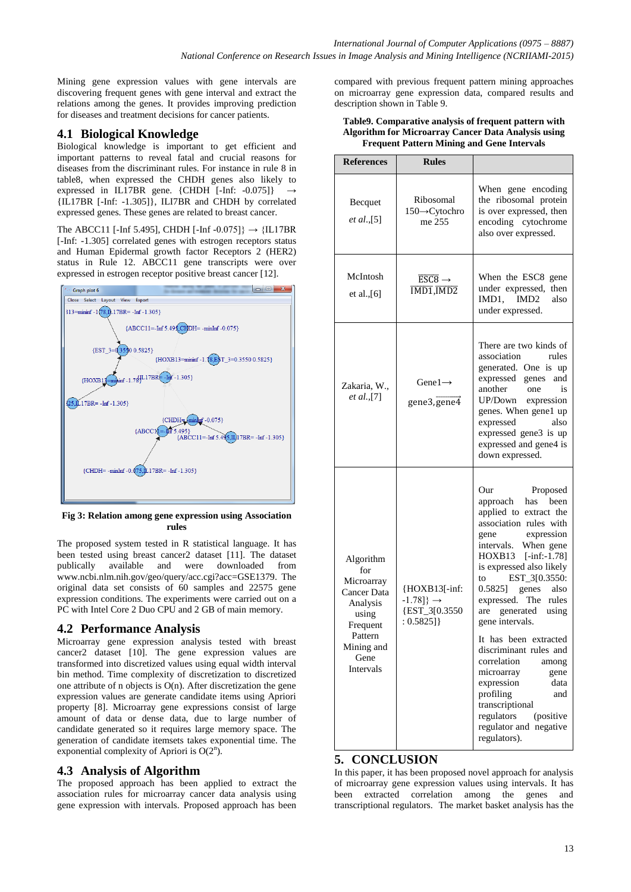Mining gene expression values with gene intervals are discovering frequent genes with gene interval and extract the relations among the genes. It provides improving prediction for diseases and treatment decisions for cancer patients.

# **4.1 Biological Knowledge**

Biological knowledge is important to get efficient and important patterns to reveal fatal and crucial reasons for diseases from the discriminant rules. For instance in rule 8 in table8, when expressed the CHDH genes also likely to expressed in IL17BR gene.  $\{CHDH$  [-Inf: -0.075]} {IL17BR [-Inf: -1.305]}, ILI7BR and CHDH by correlated expressed genes. These genes are related to breast cancer.

The ABCC11 [-Inf 5.495], CHDH [-Inf -0.075]}  $\rightarrow$  {IL17BR [-Inf: -1.305] correlated genes with estrogen receptors status and Human Epidermal growth factor Receptors 2 (HER2) status in Rule 12. ABCC11 gene transcripts were over expressed in estrogen receptor positive breast cancer [12].



**Fig 3: Relation among gene expression using Association rules**

The proposed system tested in R statistical language. It has been tested using breast cancer2 dataset [11]. The dataset publically available and were downloaded from www.ncbi.nlm.nih.gov/geo/query/acc.cgi?acc=GSE1379. The original data set consists of 60 samples and 22575 gene expression conditions. The experiments were carried out on a PC with Intel Core 2 Duo CPU and 2 GB of main memory.

## **4.2 Performance Analysis**

Microarray gene expression analysis tested with breast cancer2 dataset [10]. The gene expression values are transformed into discretized values using equal width interval bin method. Time complexity of discretization to discretized one attribute of n objects is  $O(n)$ . After discretization the gene expression values are generate candidate items using Apriori property [8]. Microarray gene expressions consist of large amount of data or dense data, due to large number of candidate generated so it requires large memory space. The generation of candidate itemsets takes exponential time. The exponential complexity of Apriori is  $O(2^n)$ .

## **4.3 Analysis of Algorithm**

The proposed approach has been applied to extract the association rules for microarray cancer data analysis using gene expression with intervals. Proposed approach has been compared with previous frequent pattern mining approaches on microarray gene expression data, compared results and description shown in Table 9.

#### **Table9. Comparative analysis of frequent pattern with Algorithm for Microarray Cancer Data Analysis using Frequent Pattern Mining and Gene Intervals**

| <b>References</b>                                                                                                            | <b>Rules</b>                                                                               |                                                                                                                                                                                                                                                                                                                                                                                                                                                                                                                                                            |  |
|------------------------------------------------------------------------------------------------------------------------------|--------------------------------------------------------------------------------------------|------------------------------------------------------------------------------------------------------------------------------------------------------------------------------------------------------------------------------------------------------------------------------------------------------------------------------------------------------------------------------------------------------------------------------------------------------------------------------------------------------------------------------------------------------------|--|
| Becquet<br><i>et al.</i> ,[5]                                                                                                | Ribosomal<br>150→Cytochro<br>me 255                                                        | When gene encoding<br>the ribosomal protein<br>is over expressed, then<br>encoding cytochrome<br>also over expressed.                                                                                                                                                                                                                                                                                                                                                                                                                                      |  |
| McIntosh<br>et al., $[6]$                                                                                                    | $\overline{\text{ESC8}}$ $\rightarrow$<br>$\overline{\text{IMD1}}, \overline{\text{IMD2}}$ | When the ESC8 gene<br>under expressed, then<br>IMD1, IMD2<br>also<br>under expressed.                                                                                                                                                                                                                                                                                                                                                                                                                                                                      |  |
| Zakaria, W.,<br>et al., [7]                                                                                                  | Gene $1 \rightarrow$<br>gene3, gene4                                                       | There are two kinds of<br>association<br>rules<br>generated. One is up<br>expressed genes<br>and<br>another<br>one<br>is<br>UP/Down<br>expression<br>genes. When gene1 up<br>expressed<br>also<br>expressed gene3 is up<br>expressed and gene4 is<br>down expressed.                                                                                                                                                                                                                                                                                       |  |
| Algorithm<br>for<br>Microarray<br>Cancer Data<br>Analysis<br>using<br>Frequent<br>Pattern<br>Mining and<br>Gene<br>Intervals | {HOXB13[-inf:<br>$-1.78$ } $\rightarrow$<br>{EST_3[0.3550<br>: 0.5825]                     | Our<br>Proposed<br>approach has been<br>applied to extract the<br>association rules with<br>expression<br>gene<br>intervals. When gene<br>HOXB13 [-inf:-1.78]<br>is expressed also likely<br>to EST_3[0.3550:<br>$0.5825$ ]<br>genes<br>also<br>expressed. The<br>rules<br>generated<br>are<br>using<br>gene intervals.<br>It has been extracted<br>discriminant rules and<br>correlation<br>among<br>microarray<br>gene<br>expression<br>data<br>profiling<br>and<br>transcriptional<br>regulators<br>(positive<br>regulator and negative<br>regulators). |  |

## **5. CONCLUSION**

In this paper, it has been proposed novel approach for analysis of microarray gene expression values using intervals. It has been extracted correlation among the genes and transcriptional regulators. The market basket analysis has the